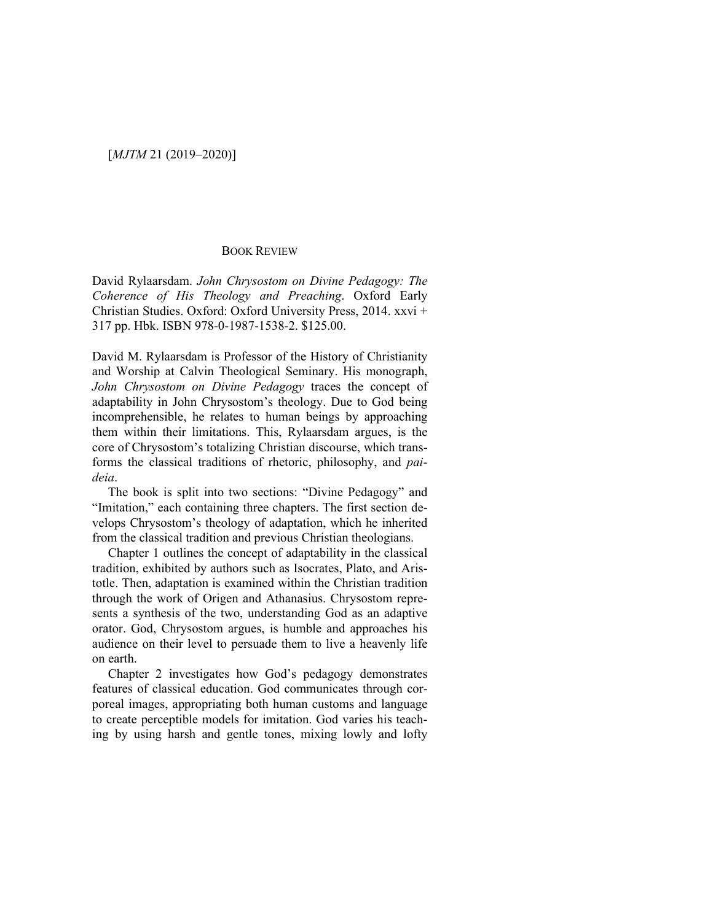## [*MJTM* 21 (2019–2020)]

## BOOK REVIEW

David Rylaarsdam. *John Chrysostom on Divine Pedagogy: The Coherence of His Theology and Preaching*. Oxford Early Christian Studies. Oxford: Oxford University Press, 2014. xxvi + 317 pp. Hbk. ISBN 978-0-1987-1538-2. \$125.00.

David M. Rylaarsdam is Professor of the History of Christianity and Worship at Calvin Theological Seminary. His monograph, *John Chrysostom on Divine Pedagogy* traces the concept of adaptability in John Chrysostom's theology. Due to God being incomprehensible, he relates to human beings by approaching them within their limitations. This, Rylaarsdam argues, is the core of Chrysostom's totalizing Christian discourse, which transforms the classical traditions of rhetoric, philosophy, and *paideia*.

The book is split into two sections: "Divine Pedagogy" and "Imitation," each containing three chapters. The first section develops Chrysostom's theology of adaptation, which he inherited from the classical tradition and previous Christian theologians.

Chapter 1 outlines the concept of adaptability in the classical tradition, exhibited by authors such as Isocrates, Plato, and Aristotle. Then, adaptation is examined within the Christian tradition through the work of Origen and Athanasius. Chrysostom represents a synthesis of the two, understanding God as an adaptive orator. God, Chrysostom argues, is humble and approaches his audience on their level to persuade them to live a heavenly life on earth.

Chapter 2 investigates how God's pedagogy demonstrates features of classical education. God communicates through corporeal images, appropriating both human customs and language to create perceptible models for imitation. God varies his teaching by using harsh and gentle tones, mixing lowly and lofty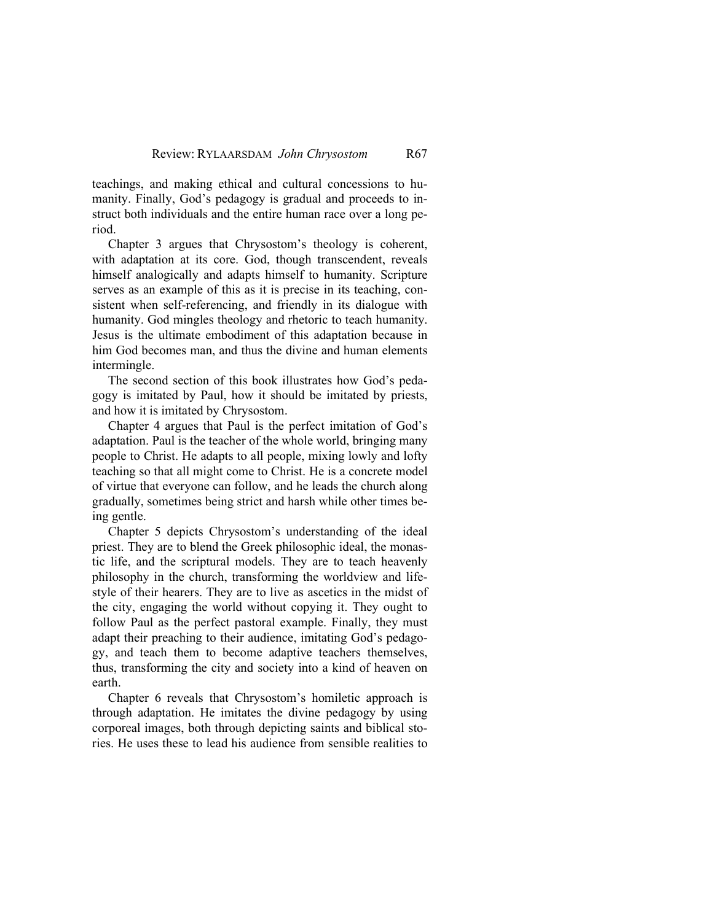teachings, and making ethical and cultural concessions to humanity. Finally, God's pedagogy is gradual and proceeds to instruct both individuals and the entire human race over a long period.

Chapter 3 argues that Chrysostom's theology is coherent, with adaptation at its core. God, though transcendent, reveals himself analogically and adapts himself to humanity. Scripture serves as an example of this as it is precise in its teaching, consistent when self-referencing, and friendly in its dialogue with humanity. God mingles theology and rhetoric to teach humanity. Jesus is the ultimate embodiment of this adaptation because in him God becomes man, and thus the divine and human elements intermingle.

The second section of this book illustrates how God's pedagogy is imitated by Paul, how it should be imitated by priests, and how it is imitated by Chrysostom.

Chapter 4 argues that Paul is the perfect imitation of God's adaptation. Paul is the teacher of the whole world, bringing many people to Christ. He adapts to all people, mixing lowly and lofty teaching so that all might come to Christ. He is a concrete model of virtue that everyone can follow, and he leads the church along gradually, sometimes being strict and harsh while other times being gentle.

Chapter 5 depicts Chrysostom's understanding of the ideal priest. They are to blend the Greek philosophic ideal, the monastic life, and the scriptural models. They are to teach heavenly philosophy in the church, transforming the worldview and lifestyle of their hearers. They are to live as ascetics in the midst of the city, engaging the world without copying it. They ought to follow Paul as the perfect pastoral example. Finally, they must adapt their preaching to their audience, imitating God's pedagogy, and teach them to become adaptive teachers themselves, thus, transforming the city and society into a kind of heaven on earth.

Chapter 6 reveals that Chrysostom's homiletic approach is through adaptation. He imitates the divine pedagogy by using corporeal images, both through depicting saints and biblical stories. He uses these to lead his audience from sensible realities to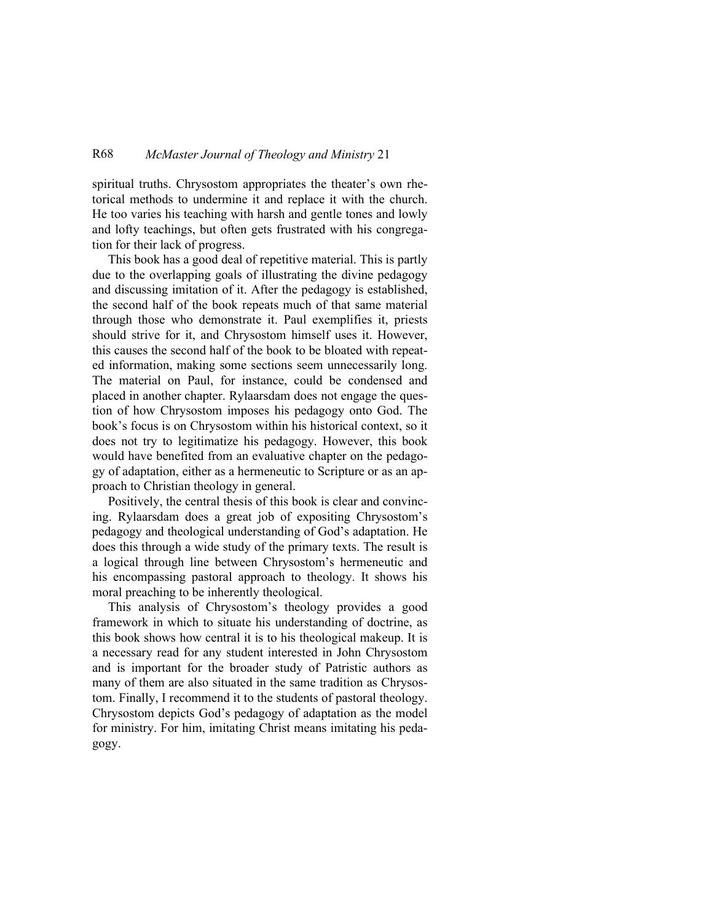## R68 *McMaster Journal of Theology and Ministry* 21

spiritual truths. Chrysostom appropriates the theater's own rhetorical methods to undermine it and replace it with the church. He too varies his teaching with harsh and gentle tones and lowly and lofty teachings, but often gets frustrated with his congregation for their lack of progress.

This book has a good deal of repetitive material. This is partly due to the overlapping goals of illustrating the divine pedagogy and discussing imitation of it. After the pedagogy is established, the second half of the book repeats much of that same material through those who demonstrate it. Paul exemplifies it, priests should strive for it, and Chrysostom himself uses it. However, this causes the second half of the book to be bloated with repeated information, making some sections seem unnecessarily long. The material on Paul, for instance, could be condensed and placed in another chapter. Rylaarsdam does not engage the question of how Chrysostom imposes his pedagogy onto God. The book's focus is on Chrysostom within his historical context, so it does not try to legitimatize his pedagogy. However, this book would have benefited from an evaluative chapter on the pedagogy of adaptation, either as a hermeneutic to Scripture or as an approach to Christian theology in general.

Positively, the central thesis of this book is clear and convincing. Rylaarsdam does a great job of expositing Chrysostom's pedagogy and theological understanding of God's adaptation. He does this through a wide study of the primary texts. The result is a logical through line between Chrysostom's hermeneutic and his encompassing pastoral approach to theology. It shows his moral preaching to be inherently theological.

This analysis of Chrysostom's theology provides a good framework in which to situate his understanding of doctrine, as this book shows how central it is to his theological makeup. It is a necessary read for any student interested in John Chrysostom and is important for the broader study of Patristic authors as many of them are also situated in the same tradition as Chrysostom. Finally, I recommend it to the students of pastoral theology. Chrysostom depicts God's pedagogy of adaptation as the model for ministry. For him, imitating Christ means imitating his pedagogy.